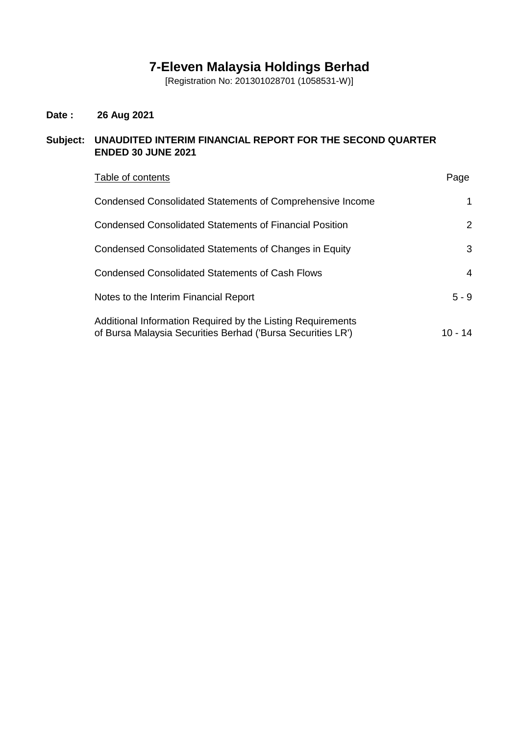# **7-Eleven Malaysia Holdings Berhad**

[Registration No: 201301028701 (1058531-W)]

## **Date : 26 Aug 2021**

## **Subject: UNAUDITED INTERIM FINANCIAL REPORT FOR THE SECOND QUARTER ENDED 30 JUNE 2021**

| Table of contents                                                                                                          | Page       |
|----------------------------------------------------------------------------------------------------------------------------|------------|
| Condensed Consolidated Statements of Comprehensive Income                                                                  | 1          |
| Condensed Consolidated Statements of Financial Position                                                                    | 2          |
| Condensed Consolidated Statements of Changes in Equity                                                                     | 3          |
| Condensed Consolidated Statements of Cash Flows                                                                            | 4          |
| Notes to the Interim Financial Report                                                                                      | $5 - 9$    |
| Additional Information Required by the Listing Requirements<br>of Bursa Malaysia Securities Berhad ('Bursa Securities LR') | 10 -<br>14 |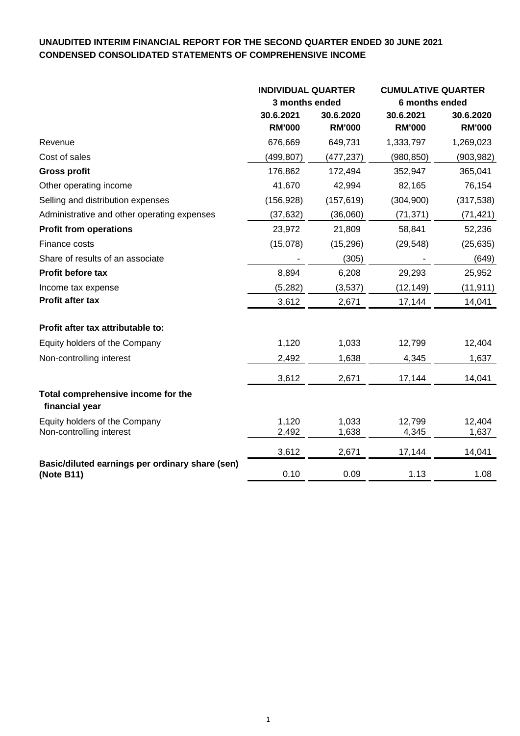## **UNAUDITED INTERIM FINANCIAL REPORT FOR THE SECOND QUARTER ENDED 30 JUNE 2021 CONDENSED CONSOLIDATED STATEMENTS OF COMPREHENSIVE INCOME**

|                                                               | <b>INDIVIDUAL QUARTER</b><br>3 months ended |               | <b>CUMULATIVE QUARTER</b> |               |
|---------------------------------------------------------------|---------------------------------------------|---------------|---------------------------|---------------|
|                                                               |                                             |               | 6 months ended            |               |
|                                                               | 30.6.2021                                   | 30.6.2020     | 30.6.2021                 | 30.6.2020     |
|                                                               | <b>RM'000</b>                               | <b>RM'000</b> | <b>RM'000</b>             | <b>RM'000</b> |
| Revenue                                                       | 676,669                                     | 649,731       | 1,333,797                 | 1,269,023     |
| Cost of sales                                                 | (499,807)                                   | (477,237)     | (980, 850)                | (903, 982)    |
| <b>Gross profit</b>                                           | 176,862                                     | 172,494       | 352,947                   | 365,041       |
| Other operating income                                        | 41,670                                      | 42,994        | 82,165                    | 76,154        |
| Selling and distribution expenses                             | (156, 928)                                  | (157, 619)    | (304, 900)                | (317, 538)    |
| Administrative and other operating expenses                   | (37, 632)                                   | (36,060)      | (71, 371)                 | (71, 421)     |
| <b>Profit from operations</b>                                 | 23,972                                      | 21,809        | 58,841                    | 52,236        |
| Finance costs                                                 | (15,078)                                    | (15, 296)     | (29, 548)                 | (25, 635)     |
| Share of results of an associate                              |                                             | (305)         |                           | (649)         |
| Profit before tax                                             | 8,894                                       | 6,208         | 29,293                    | 25,952        |
| Income tax expense                                            | (5, 282)                                    | (3,537)       | (12, 149)                 | (11, 911)     |
| Profit after tax                                              | 3,612                                       | 2,671         | 17,144                    | 14,041        |
| Profit after tax attributable to:                             |                                             |               |                           |               |
| Equity holders of the Company                                 | 1,120                                       | 1,033         | 12,799                    | 12,404        |
| Non-controlling interest                                      | 2,492                                       | 1,638         | 4,345                     | 1,637         |
|                                                               | 3,612                                       | 2,671         | 17,144                    | 14,041        |
| Total comprehensive income for the<br>financial year          |                                             |               |                           |               |
| Equity holders of the Company                                 | 1,120                                       | 1,033         | 12,799                    | 12,404        |
| Non-controlling interest                                      | 2,492                                       | 1,638         | 4,345                     | 1,637         |
|                                                               | 3,612                                       | 2,671         | 17,144                    | 14,041        |
| Basic/diluted earnings per ordinary share (sen)<br>(Note B11) | 0.10                                        | 0.09          | 1.13                      | 1.08          |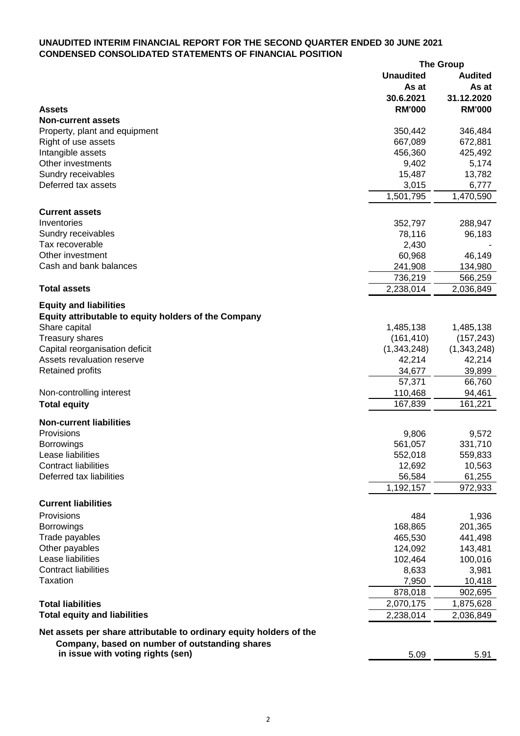## **UNAUDITED INTERIM FINANCIAL REPORT FOR THE SECOND QUARTER ENDED 30 JUNE 2021 CONDENSED CONSOLIDATED STATEMENTS OF FINANCIAL POSITION**

|                                                                     |                            | <b>The Group</b>            |
|---------------------------------------------------------------------|----------------------------|-----------------------------|
|                                                                     | <b>Unaudited</b>           | <b>Audited</b>              |
|                                                                     | As at                      | As at                       |
|                                                                     | 30.6.2021<br><b>RM'000</b> | 31.12.2020<br><b>RM'000</b> |
| <b>Assets</b><br><b>Non-current assets</b>                          |                            |                             |
|                                                                     | 350,442                    | 346,484                     |
| Property, plant and equipment<br>Right of use assets                | 667,089                    | 672,881                     |
| Intangible assets                                                   | 456,360                    | 425,492                     |
| Other investments                                                   | 9,402                      | 5,174                       |
| Sundry receivables                                                  | 15,487                     | 13,782                      |
| Deferred tax assets                                                 | 3,015                      | 6,777                       |
|                                                                     | 1,501,795                  | 1,470,590                   |
|                                                                     |                            |                             |
| <b>Current assets</b>                                               |                            |                             |
| Inventories                                                         | 352,797                    | 288,947                     |
| Sundry receivables                                                  | 78,116                     | 96,183                      |
| Tax recoverable                                                     | 2,430                      |                             |
| Other investment                                                    | 60,968                     | 46,149                      |
| Cash and bank balances                                              | 241,908                    | 134,980                     |
|                                                                     | 736,219                    | 566,259                     |
| <b>Total assets</b>                                                 | 2,238,014                  | 2,036,849                   |
| <b>Equity and liabilities</b>                                       |                            |                             |
| Equity attributable to equity holders of the Company                |                            |                             |
| Share capital                                                       | 1,485,138                  | 1,485,138                   |
| <b>Treasury shares</b>                                              | (161, 410)                 | (157, 243)                  |
| Capital reorganisation deficit                                      | (1,343,248)                | (1,343,248)                 |
| Assets revaluation reserve                                          | 42,214                     | 42,214                      |
| <b>Retained profits</b>                                             | 34,677                     | 39,899                      |
|                                                                     | 57,371                     | 66,760                      |
| Non-controlling interest                                            |                            |                             |
|                                                                     | 110,468<br>167,839         | 94,461                      |
| <b>Total equity</b>                                                 |                            | 161,221                     |
| <b>Non-current liabilities</b>                                      |                            |                             |
| Provisions                                                          | 9,806                      | 9,572                       |
| Borrowings                                                          | 561,057                    | 331,710                     |
| Lease liabilities                                                   | 552,018                    | 559,833                     |
| <b>Contract liabilities</b>                                         | 12,692                     | 10,563                      |
| Deferred tax liabilities                                            | 56,584                     | 61,255                      |
|                                                                     | 1,192,157                  | 972,933                     |
| <b>Current liabilities</b>                                          |                            |                             |
| Provisions                                                          |                            |                             |
|                                                                     | 484                        | 1,936                       |
| <b>Borrowings</b>                                                   | 168,865                    | 201,365                     |
| Trade payables<br>Other payables                                    | 465,530                    | 441,498                     |
| Lease liabilities                                                   | 124,092                    | 143,481                     |
| <b>Contract liabilities</b>                                         | 102,464                    | 100,016                     |
| <b>Taxation</b>                                                     | 8,633                      | 3,981                       |
|                                                                     | 7,950                      | 10,418                      |
|                                                                     | 878,018                    | 902,695                     |
| <b>Total liabilities</b>                                            | 2,070,175                  | 1,875,628                   |
| <b>Total equity and liabilities</b>                                 | 2,238,014                  | 2,036,849                   |
| Net assets per share attributable to ordinary equity holders of the |                            |                             |
| Company, based on number of outstanding shares                      |                            |                             |
| in issue with voting rights (sen)                                   | 5.09                       | 5.91                        |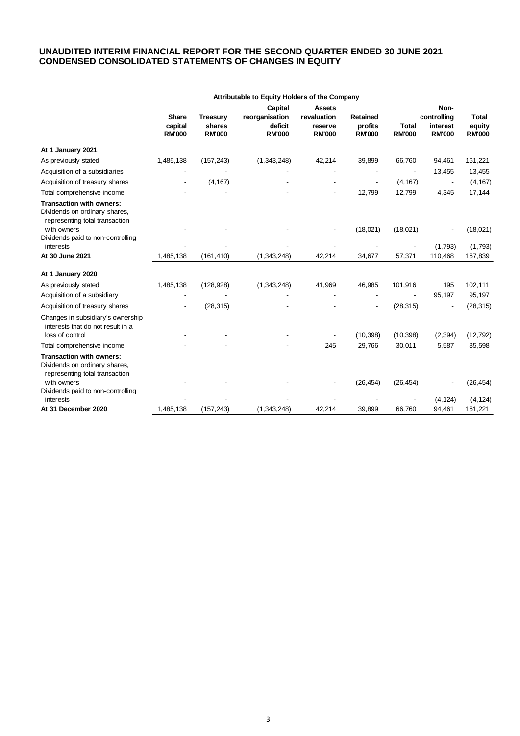#### **UNAUDITED INTERIM FINANCIAL REPORT FOR THE SECOND QUARTER ENDED 30 JUNE 2021 CONDENSED CONSOLIDATED STATEMENTS OF CHANGES IN EQUITY**

|                                                                                                                   | Attributable to Equity Holders of the Company |                                            |                                            |                                         |                                      |                               |                                          |                                         |
|-------------------------------------------------------------------------------------------------------------------|-----------------------------------------------|--------------------------------------------|--------------------------------------------|-----------------------------------------|--------------------------------------|-------------------------------|------------------------------------------|-----------------------------------------|
|                                                                                                                   |                                               |                                            | Capital                                    | <b>Assets</b>                           |                                      |                               | Non-                                     |                                         |
|                                                                                                                   | <b>Share</b><br>capital<br><b>RM'000</b>      | <b>Treasury</b><br>shares<br><b>RM'000</b> | reorganisation<br>deficit<br><b>RM'000</b> | revaluation<br>reserve<br><b>RM'000</b> | Retained<br>profits<br><b>RM'000</b> | <b>Total</b><br><b>RM'000</b> | controlling<br>interest<br><b>RM'000</b> | <b>Total</b><br>equity<br><b>RM'000</b> |
| At 1 January 2021                                                                                                 |                                               |                                            |                                            |                                         |                                      |                               |                                          |                                         |
| As previously stated                                                                                              | 1,485,138                                     | (157, 243)                                 | (1,343,248)                                | 42,214                                  | 39,899                               | 66,760                        | 94,461                                   | 161,221                                 |
| Acquisition of a subsidiaries                                                                                     |                                               |                                            |                                            |                                         |                                      |                               | 13,455                                   | 13,455                                  |
| Acquisition of treasury shares                                                                                    |                                               | (4, 167)                                   |                                            |                                         |                                      | (4, 167)                      |                                          | (4, 167)                                |
| Total comprehensive income                                                                                        |                                               |                                            |                                            |                                         | 12,799                               | 12,799                        | 4,345                                    | 17,144                                  |
| <b>Transaction with owners:</b><br>Dividends on ordinary shares,<br>representing total transaction<br>with owners |                                               |                                            |                                            |                                         | (18,021)                             | (18,021)                      |                                          | (18,021)                                |
| Dividends paid to non-controlling<br>interests                                                                    |                                               |                                            |                                            |                                         |                                      |                               | (1,793)                                  | (1,793)                                 |
| At 30 June 2021                                                                                                   | 1,485,138                                     | (161, 410)                                 | (1,343,248)                                | 42,214                                  | 34,677                               | 57,371                        | 110,468                                  | 167,839                                 |
| At 1 January 2020                                                                                                 |                                               |                                            |                                            |                                         |                                      |                               |                                          |                                         |
| As previously stated                                                                                              | 1,485,138                                     | (128, 928)                                 | (1,343,248)                                | 41,969                                  | 46,985                               | 101,916                       | 195                                      | 102,111                                 |
| Acquisition of a subsidiary                                                                                       |                                               |                                            |                                            |                                         |                                      |                               | 95,197                                   | 95,197                                  |
| Acquisition of treasury shares                                                                                    |                                               | (28, 315)                                  |                                            |                                         |                                      | (28, 315)                     |                                          | (28, 315)                               |
| Changes in subsidiary's ownership<br>interests that do not result in a<br>loss of control                         |                                               |                                            |                                            |                                         | (10, 398)                            | (10, 398)                     | (2, 394)                                 | (12, 792)                               |
| Total comprehensive income                                                                                        |                                               |                                            |                                            | 245                                     | 29,766                               | 30,011                        | 5,587                                    | 35,598                                  |
| <b>Transaction with owners:</b><br>Dividends on ordinary shares,<br>representing total transaction                |                                               |                                            |                                            |                                         |                                      |                               |                                          |                                         |
| with owners<br>Dividends paid to non-controlling                                                                  |                                               |                                            |                                            |                                         | (26, 454)                            | (26, 454)                     |                                          | (26, 454)                               |
| interests<br>At 31 December 2020                                                                                  | 1,485,138                                     | (157, 243)                                 | (1,343,248)                                | 42,214                                  | 39,899                               | 66,760                        | (4, 124)<br>94,461                       | (4, 124)<br>161,221                     |
|                                                                                                                   |                                               |                                            |                                            |                                         |                                      |                               |                                          |                                         |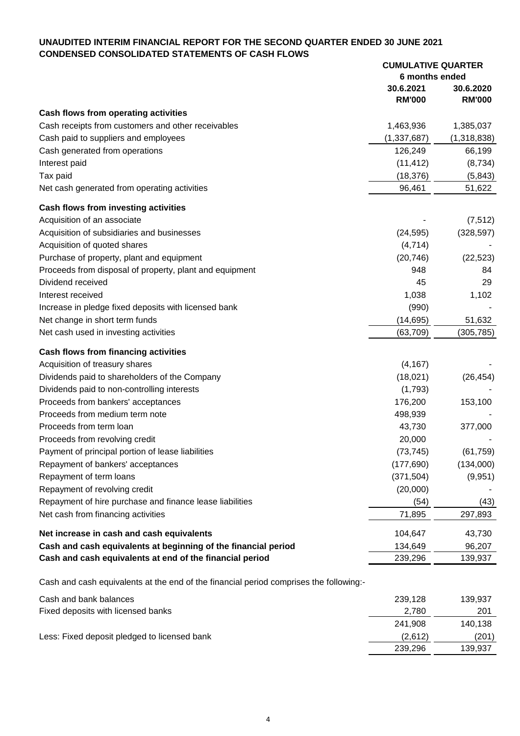## **UNAUDITED INTERIM FINANCIAL REPORT FOR THE SECOND QUARTER ENDED 30 JUNE 2021 CONDENSED CONSOLIDATED STATEMENTS OF CASH FLOWS**

|                                                                                                | <b>CUMULATIVE QUARTER</b> |                 |
|------------------------------------------------------------------------------------------------|---------------------------|-----------------|
|                                                                                                | 6 months ended            |                 |
|                                                                                                | 30.6.2021                 | 30.6.2020       |
|                                                                                                | <b>RM'000</b>             | <b>RM'000</b>   |
| Cash flows from operating activities                                                           |                           |                 |
| Cash receipts from customers and other receivables                                             | 1,463,936                 | 1,385,037       |
| Cash paid to suppliers and employees                                                           | (1, 337, 687)             | (1,318,838)     |
| Cash generated from operations                                                                 | 126,249                   | 66,199          |
| Interest paid                                                                                  | (11, 412)                 | (8,734)         |
| Tax paid                                                                                       | (18, 376)                 | (5, 843)        |
| Net cash generated from operating activities                                                   | 96,461                    | 51,622          |
| Cash flows from investing activities                                                           |                           |                 |
|                                                                                                |                           |                 |
| Acquisition of an associate                                                                    |                           | (7, 512)        |
| Acquisition of subsidiaries and businesses                                                     | (24, 595)                 | (328, 597)      |
| Acquisition of quoted shares                                                                   | (4, 714)                  |                 |
| Purchase of property, plant and equipment                                                      | (20, 746)                 | (22, 523)       |
| Proceeds from disposal of property, plant and equipment                                        | 948                       | 84              |
| Dividend received                                                                              | 45                        | 29              |
| Interest received                                                                              | 1,038                     | 1,102           |
| Increase in pledge fixed deposits with licensed bank                                           | (990)                     |                 |
| Net change in short term funds                                                                 | (14, 695)                 | 51,632          |
| Net cash used in investing activities                                                          | (63, 709)                 | (305, 785)      |
| Cash flows from financing activities                                                           |                           |                 |
| Acquisition of treasury shares                                                                 | (4, 167)                  |                 |
| Dividends paid to shareholders of the Company                                                  | (18,021)                  | (26, 454)       |
| Dividends paid to non-controlling interests                                                    | (1,793)                   |                 |
| Proceeds from bankers' acceptances                                                             | 176,200                   | 153,100         |
| Proceeds from medium term note                                                                 | 498,939                   |                 |
| Proceeds from term loan                                                                        | 43,730                    | 377,000         |
| Proceeds from revolving credit                                                                 | 20,000                    |                 |
| Payment of principal portion of lease liabilities                                              | (73, 745)                 | (61, 759)       |
| Repayment of bankers' acceptances                                                              | (177, 690)                | (134,000)       |
| Repayment of term loans                                                                        | (371, 504)                | (9,951)         |
| Repayment of revolving credit                                                                  | (20,000)                  |                 |
|                                                                                                |                           |                 |
| Repayment of hire purchase and finance lease liabilities<br>Net cash from financing activities | (54)<br>71,895            | (43)<br>297,893 |
|                                                                                                |                           |                 |
| Net increase in cash and cash equivalents                                                      | 104,647                   | 43,730          |
| Cash and cash equivalents at beginning of the financial period                                 | 134,649                   | 96,207          |
| Cash and cash equivalents at end of the financial period                                       | 239,296                   | 139,937         |
| Cash and cash equivalents at the end of the financial period comprises the following:-         |                           |                 |
| Cash and bank balances                                                                         | 239,128                   | 139,937         |
| Fixed deposits with licensed banks                                                             | 2,780                     | 201             |
|                                                                                                | 241,908                   | 140,138         |
| Less: Fixed deposit pledged to licensed bank                                                   | (2,612)                   | (201)           |
|                                                                                                | 239,296                   | 139,937         |
|                                                                                                |                           |                 |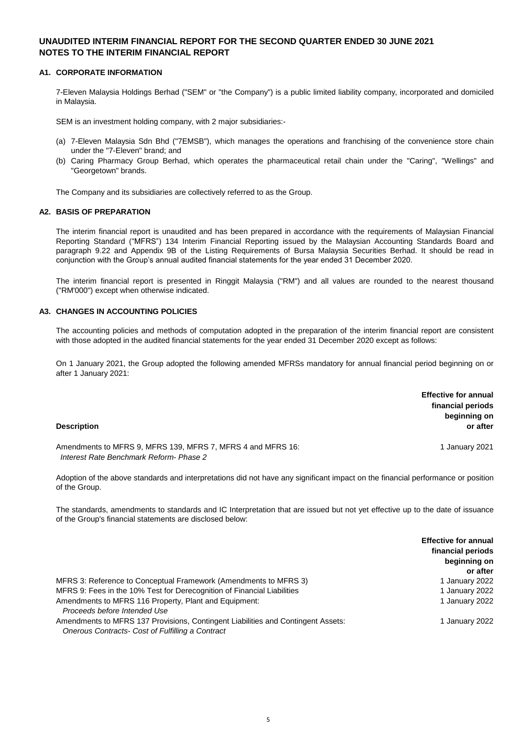#### **A1. CORPORATE INFORMATION**

7-Eleven Malaysia Holdings Berhad ("SEM" or "the Company") is a public limited liability company, incorporated and domiciled in Malaysia.

SEM is an investment holding company, with 2 major subsidiaries:-

- (a) 7-Eleven Malaysia Sdn Bhd ("7EMSB"), which manages the operations and franchising of the convenience store chain under the "7-Eleven" brand; and
- (b) Caring Pharmacy Group Berhad, which operates the pharmaceutical retail chain under the "Caring", "Wellings" and "Georgetown" brands.

The Company and its subsidiaries are collectively referred to as the Group.

#### **A2. BASIS OF PREPARATION**

The interim financial report is unaudited and has been prepared in accordance with the requirements of Malaysian Financial Reporting Standard ("MFRS") 134 Interim Financial Reporting issued by the Malaysian Accounting Standards Board and paragraph 9.22 and Appendix 9B of the Listing Requirements of Bursa Malaysia Securities Berhad. It should be read in conjunction with the Group's annual audited financial statements for the year ended 31 December 2020.

The interim financial report is presented in Ringgit Malaysia ("RM") and all values are rounded to the nearest thousand ("RM'000") except when otherwise indicated.

#### **A3. CHANGES IN ACCOUNTING POLICIES**

The accounting policies and methods of computation adopted in the preparation of the interim financial report are consistent with those adopted in the audited financial statements for the year ended 31 December 2020 except as follows:

On 1 January 2021, the Group adopted the following amended MFRSs mandatory for annual financial period beginning on or after 1 January 2021:

| <b>Description</b>                                                                                     | <b>Effective for annual</b><br>financial periods<br>beginning on<br>or after |
|--------------------------------------------------------------------------------------------------------|------------------------------------------------------------------------------|
| Amendments to MFRS 9, MFRS 139, MFRS 7, MFRS 4 and MFRS 16:<br>Interest Rate Benchmark Reform- Phase 2 | 1 January 2021                                                               |

Adoption of the above standards and interpretations did not have any significant impact on the financial performance or position of the Group.

The standards, amendments to standards and IC Interpretation that are issued but not yet effective up to the date of issuance of the Group's financial statements are disclosed below:

|                                                                                  | <b>Effective for annual</b> |
|----------------------------------------------------------------------------------|-----------------------------|
|                                                                                  | financial periods           |
|                                                                                  | beginning on                |
|                                                                                  | or after                    |
| MFRS 3: Reference to Conceptual Framework (Amendments to MFRS 3)                 | 1 January 2022              |
| MFRS 9: Fees in the 10% Test for Derecognition of Financial Liabilities          | 1 January 2022              |
| Amendments to MFRS 116 Property, Plant and Equipment:                            | 1 January 2022              |
| Proceeds before Intended Use                                                     |                             |
| Amendments to MFRS 137 Provisions, Contingent Liabilities and Contingent Assets: | 1 January 2022              |
| Onerous Contracts- Cost of Fulfilling a Contract                                 |                             |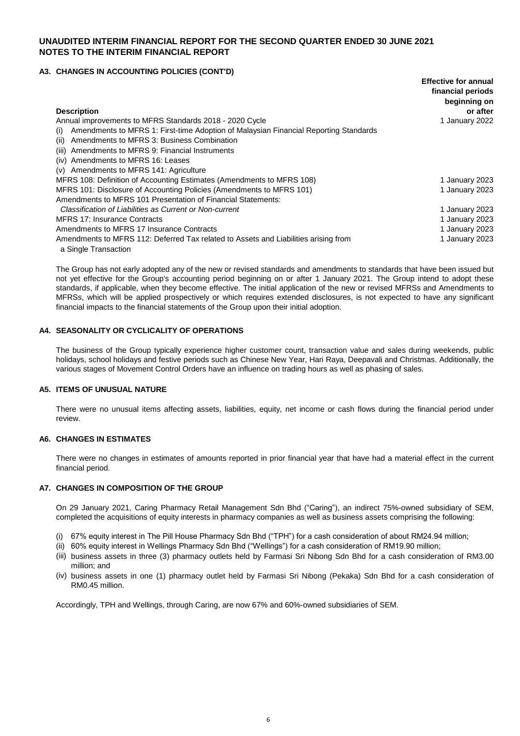#### **A3. CHANGES IN ACCOUNTING POLICIES (CONT'D)**

|                                                                                             | <b>Effective for annual</b><br>financial periods |
|---------------------------------------------------------------------------------------------|--------------------------------------------------|
|                                                                                             | beginning on                                     |
| <b>Description</b>                                                                          | or after                                         |
| Annual improvements to MFRS Standards 2018 - 2020 Cycle                                     | 1 January 2022                                   |
| Amendments to MFRS 1: First-time Adoption of Malaysian Financial Reporting Standards<br>(i) |                                                  |
| Amendments to MFRS 3: Business Combination<br>(ii)                                          |                                                  |
| Amendments to MFRS 9: Financial Instruments<br>(iii)                                        |                                                  |
| Amendments to MFRS 16: Leases<br>(iv)                                                       |                                                  |
| Amendments to MFRS 141: Agriculture<br>(v)                                                  |                                                  |
| MFRS 108: Definition of Accounting Estimates (Amendments to MFRS 108)                       | 1 January 2023                                   |
| MFRS 101: Disclosure of Accounting Policies (Amendments to MFRS 101)                        | 1 January 2023                                   |
| Amendments to MFRS 101 Presentation of Financial Statements:                                |                                                  |
| Classification of Liabilities as Current or Non-current                                     | 1 January 2023                                   |
| <b>MFRS 17: Insurance Contracts</b>                                                         | 1 January 2023                                   |
| Amendments to MFRS 17 Insurance Contracts                                                   | 1 January 2023                                   |
| Amendments to MFRS 112: Deferred Tax related to Assets and Liabilities arising from         | 1 January 2023                                   |
| a Single Transaction                                                                        |                                                  |

The Group has not early adopted any of the new or revised standards and amendments to standards that have been issued but not yet effective for the Group's accounting period beginning on or after 1 January 2021. The Group intend to adopt these standards, if applicable, when they become effective. The initial application of the new or revised MFRSs and Amendments to MFRSs, which will be applied prospectively or which requires extended disclosures, is not expected to have any significant financial impacts to the financial statements of the Group upon their initial adoption.

#### **A4. SEASONALITY OR CYCLICALITY OF OPERATIONS**

The business of the Group typically experience higher customer count, transaction value and sales during weekends, public holidays, school holidays and festive periods such as Chinese New Year, Hari Raya, Deepavali and Christmas. Additionally, the various stages of Movement Control Orders have an influence on trading hours as well as phasing of sales.

#### **A5. ITEMS OF UNUSUAL NATURE**

There were no unusual items affecting assets, liabilities, equity, net income or cash flows during the financial period under review.

#### **A6. CHANGES IN ESTIMATES**

There were no changes in estimates of amounts reported in prior financial year that have had a material effect in the current financial period.

#### **A7. CHANGES IN COMPOSITION OF THE GROUP**

On 29 January 2021, Caring Pharmacy Retail Management Sdn Bhd ("Caring"), an indirect 75%-owned subsidiary of SEM, completed the acquisitions of equity interests in pharmacy companies as well as business assets comprising the following:

- (i) 67% equity interest in The Pill House Pharmacy Sdn Bhd ("TPH") for a cash consideration of about RM24.94 million;
- (ii) 60% equity interest in Wellings Pharmacy Sdn Bhd ("Wellings") for a cash consideration of RM19.90 million;
- (iii) business assets in three (3) pharmacy outlets held by Farmasi Sri Nibong Sdn Bhd for a cash consideration of RM3.00 million; and
- (iv) business assets in one (1) pharmacy outlet held by Farmasi Sri Nibong (Pekaka) Sdn Bhd for a cash consideration of RM0.45 million.

Accordingly, TPH and Wellings, through Caring, are now 67% and 60%-owned subsidiaries of SEM.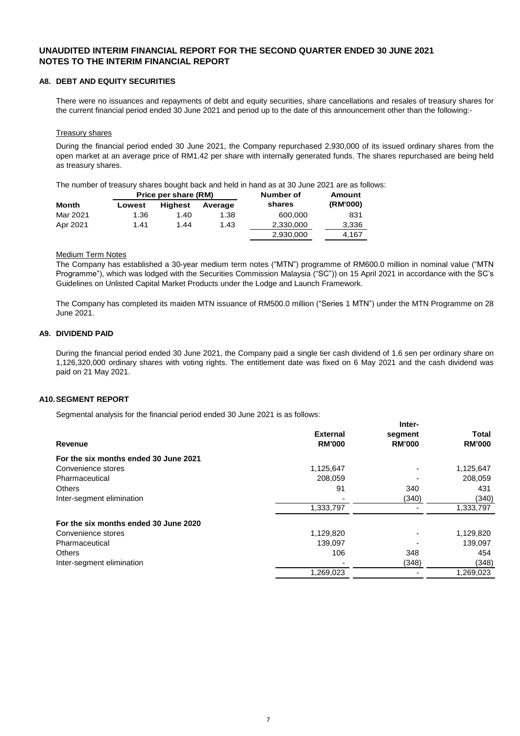#### **A8. DEBT AND EQUITY SECURITIES**

There were no issuances and repayments of debt and equity securities, share cancellations and resales of treasury shares for the current financial period ended 30 June 2021 and period up to the date of this announcement other than the following:-

#### Treasury shares

During the financial period ended 30 June 2021, the Company repurchased 2,930,000 of its issued ordinary shares from the open market at an average price of RM1.42 per share with internally generated funds. The shares repurchased are being held as treasury shares.

The number of treasury shares bought back and held in hand as at 30 June 2021 are as follows:

|              |        |                | Price per share (RM) |           | Number of |  |
|--------------|--------|----------------|----------------------|-----------|-----------|--|
| <b>Month</b> | Lowest | <b>Highest</b> | Average              | shares    | (RM'000)  |  |
| Mar 2021     | 1.36   | 1.40           | 1.38                 | 600.000   | 831       |  |
| Apr 2021     | 1.41   | 1.44           | 1.43                 | 2,330,000 | 3,336     |  |
|              |        |                |                      | 2,930,000 | 4,167     |  |

#### Medium Term Notes

The Company has established a 30-year medium term notes ("MTN") programme of RM600.0 million in nominal value ("MTN Programme"), which was lodged with the Securities Commission Malaysia ("SC")) on 15 April 2021 in accordance with the SC's Guidelines on Unlisted Capital Market Products under the Lodge and Launch Framework.

The Company has completed its maiden MTN issuance of RM500.0 million ("Series 1 MTN") under the MTN Programme on 28 June 2021.

#### **A9. DIVIDEND PAID**

During the financial period ended 30 June 2021, the Company paid a single tier cash dividend of 1.6 sen per ordinary share on 1,126,320,000 ordinary shares with voting rights. The entitlement date was fixed on 6 May 2021 and the cash dividend was paid on 21 May 2021.

**Inter-**

#### **A10.SEGMENT REPORT**

Segmental analysis for the financial period ended 30 June 2021 is as follows:

|                                       |                 | mer-          |               |
|---------------------------------------|-----------------|---------------|---------------|
|                                       | <b>External</b> | segment       | <b>Total</b>  |
| Revenue                               | <b>RM'000</b>   | <b>RM'000</b> | <b>RM'000</b> |
| For the six months ended 30 June 2021 |                 |               |               |
| Convenience stores                    | 1,125,647       |               | 1,125,647     |
| Pharmaceutical                        | 208,059         |               | 208,059       |
| <b>Others</b>                         | 91              | 340           | 431           |
| Inter-segment elimination             |                 | (340)         | (340)         |
|                                       | 1,333,797       |               | 1,333,797     |
| For the six months ended 30 June 2020 |                 |               |               |
| Convenience stores                    | 1,129,820       |               | 1,129,820     |
| Pharmaceutical                        | 139,097         |               | 139,097       |
| <b>Others</b>                         | 106             | 348           | 454           |
| Inter-segment elimination             |                 | (348)         | (348)         |
|                                       | 1,269,023       |               | 1,269,023     |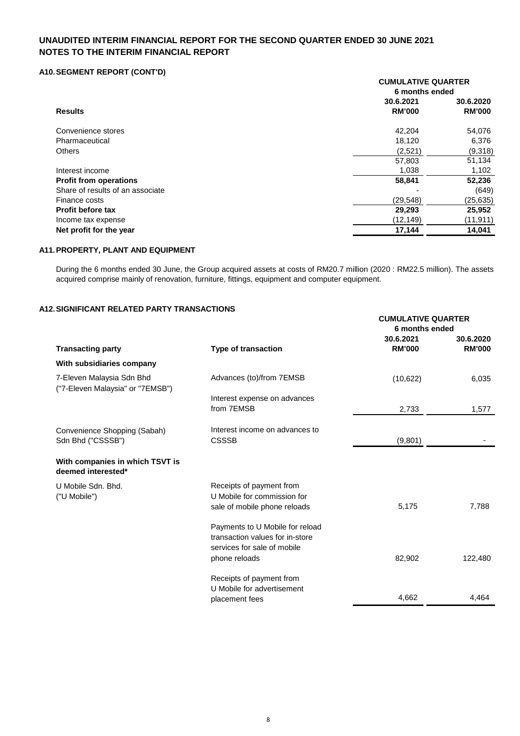#### **A10.SEGMENT REPORT (CONT'D)**

|                                  | <b>CUMULATIVE QUARTER</b><br>6 months ended |                            |  |
|----------------------------------|---------------------------------------------|----------------------------|--|
| <b>Results</b>                   | 30.6.2021<br><b>RM'000</b>                  | 30.6.2020<br><b>RM'000</b> |  |
| Convenience stores               | 42,204                                      | 54,076                     |  |
| Pharmaceutical                   | 18,120                                      | 6,376                      |  |
| <b>Others</b>                    | (2,521)                                     | (9,318)                    |  |
|                                  | 57,803                                      | 51,134                     |  |
| Interest income                  | 1,038                                       | 1,102                      |  |
| <b>Profit from operations</b>    | 58,841                                      | 52,236                     |  |
| Share of results of an associate |                                             | (649)                      |  |
| Finance costs                    | (29, 548)                                   | (25, 635)                  |  |
| <b>Profit before tax</b>         | 29,293                                      | 25,952                     |  |
| Income tax expense               | (12, 149)                                   | (11, 911)                  |  |
| Net profit for the year          | 17,144                                      | 14,041                     |  |

#### **A11.PROPERTY, PLANT AND EQUIPMENT**

During the 6 months ended 30 June, the Group acquired assets at costs of RM20.7 million (2020 : RM22.5 million). The assets acquired comprise mainly of renovation, furniture, fittings, equipment and computer equipment.

**CUMULATIVE QUARTER**

#### **A12.SIGNIFICANT RELATED PARTY TRANSACTIONS**

|                                                               |                                 | 6 months ended |                            |
|---------------------------------------------------------------|---------------------------------|----------------|----------------------------|
|                                                               |                                 | 30.6.2021      | 30.6.2020<br><b>RM'000</b> |
| <b>Transacting party</b>                                      | <b>Type of transaction</b>      | <b>RM'000</b>  |                            |
| With subsidiaries company                                     |                                 |                |                            |
| 7-Eleven Malaysia Sdn Bhd<br>("7-Eleven Malaysia" or "7EMSB") | Advances (to)/from 7EMSB        | (10, 622)      | 6,035                      |
|                                                               | Interest expense on advances    |                |                            |
|                                                               | from 7EMSB                      | 2,733          | 1,577                      |
| Convenience Shopping (Sabah)                                  | Interest income on advances to  |                |                            |
| Sdn Bhd ("CSSSB")                                             | <b>CSSSB</b>                    | (9,801)        |                            |
| With companies in which TSVT is<br>deemed interested*         |                                 |                |                            |
| U Mobile Sdn. Bhd.                                            | Receipts of payment from        |                |                            |
| ("U Mobile")                                                  | U Mobile for commission for     |                |                            |
|                                                               | sale of mobile phone reloads    | 5,175          | 7,788                      |
|                                                               | Payments to U Mobile for reload |                |                            |
|                                                               | transaction values for in-store |                |                            |
|                                                               | services for sale of mobile     |                |                            |
|                                                               | phone reloads                   | 82,902         | 122,480                    |
|                                                               | Receipts of payment from        |                |                            |
|                                                               | U Mobile for advertisement      |                |                            |
|                                                               | placement fees                  | 4,662          | 4,464                      |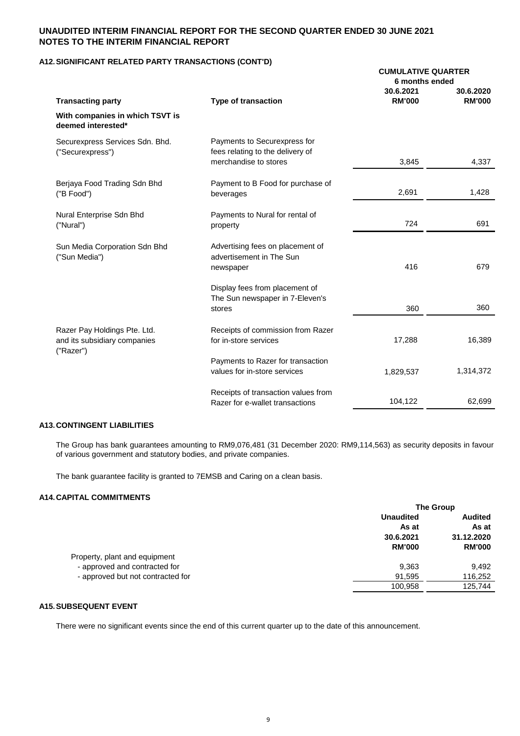#### **A12.SIGNIFICANT RELATED PARTY TRANSACTIONS (CONT'D)**

|                                                                           |                                                                                           | <b>CUMULATIVE QUARTER</b><br>6 months ended |                            |
|---------------------------------------------------------------------------|-------------------------------------------------------------------------------------------|---------------------------------------------|----------------------------|
| <b>Transacting party</b>                                                  | <b>Type of transaction</b>                                                                | 30.6.2021<br><b>RM'000</b>                  | 30.6.2020<br><b>RM'000</b> |
| With companies in which TSVT is<br>deemed interested*                     |                                                                                           |                                             |                            |
| Securexpress Services Sdn. Bhd.<br>("Securexpress")                       | Payments to Securexpress for<br>fees relating to the delivery of<br>merchandise to stores |                                             |                            |
|                                                                           |                                                                                           | 3,845                                       | 4,337                      |
| Berjaya Food Trading Sdn Bhd<br>("B Food")                                | Payment to B Food for purchase of<br>beverages                                            | 2,691                                       | 1,428                      |
| Nural Enterprise Sdn Bhd<br>("Nural")                                     | Payments to Nural for rental of<br>property                                               | 724                                         | 691                        |
| Sun Media Corporation Sdn Bhd<br>("Sun Media")                            | Advertising fees on placement of<br>advertisement in The Sun<br>newspaper                 | 416                                         | 679                        |
|                                                                           | Display fees from placement of<br>The Sun newspaper in 7-Eleven's<br>stores               | 360                                         | 360                        |
| Razer Pay Holdings Pte. Ltd.<br>and its subsidiary companies<br>("Razer") | Receipts of commission from Razer<br>for in-store services                                | 17,288                                      | 16,389                     |
|                                                                           | Payments to Razer for transaction<br>values for in-store services                         | 1,829,537                                   | 1,314,372                  |
|                                                                           | Receipts of transaction values from<br>Razer for e-wallet transactions                    | 104,122                                     | 62,699                     |

#### **A13.CONTINGENT LIABILITIES**

The Group has bank guarantees amounting to RM9,076,481 (31 December 2020: RM9,114,563) as security deposits in favour of various government and statutory bodies, and private companies.

The bank guarantee facility is granted to 7EMSB and Caring on a clean basis.

#### **A14.CAPITAL COMMITMENTS**

|                                   | <b>The Group</b> |                |
|-----------------------------------|------------------|----------------|
|                                   | <b>Unaudited</b> | <b>Audited</b> |
|                                   | As at            | As at          |
|                                   | 30.6.2021        | 31.12.2020     |
|                                   | <b>RM'000</b>    | <b>RM'000</b>  |
| Property, plant and equipment     |                  |                |
| - approved and contracted for     | 9,363            | 9.492          |
| - approved but not contracted for | 91,595           | 116,252        |
|                                   | 100,958          | 125.744        |
|                                   |                  |                |

#### **A15.SUBSEQUENT EVENT**

There were no significant events since the end of this current quarter up to the date of this announcement.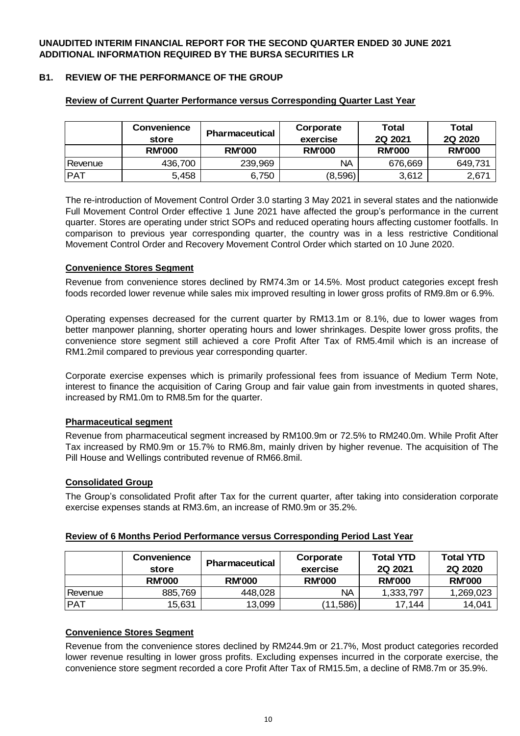## **B1. REVIEW OF THE PERFORMANCE OF THE GROUP**

|            | <b>Convenience</b><br>store | <b>Pharmaceutical</b> | Corporate<br>exercise | Total<br><b>2Q 2021</b> | Total<br>2Q 2020 |
|------------|-----------------------------|-----------------------|-----------------------|-------------------------|------------------|
|            | <b>RM'000</b>               | <b>RM'000</b>         | <b>RM'000</b>         | <b>RM'000</b>           | <b>RM'000</b>    |
| Revenue    | 436,700                     | 239,969               | ΝA                    | 676,669                 | 649,731          |
| <b>PAT</b> | 5,458                       | 6,750                 | (8,596)               | 3,612                   | 2,671            |

#### **Review of Current Quarter Performance versus Corresponding Quarter Last Year**

The re-introduction of Movement Control Order 3.0 starting 3 May 2021 in several states and the nationwide Full Movement Control Order effective 1 June 2021 have affected the group's performance in the current quarter. Stores are operating under strict SOPs and reduced operating hours affecting customer footfalls. In comparison to previous year corresponding quarter, the country was in a less restrictive Conditional Movement Control Order and Recovery Movement Control Order which started on 10 June 2020.

## **Convenience Stores Segment**

Revenue from convenience stores declined by RM74.3m or 14.5%. Most product categories except fresh foods recorded lower revenue while sales mix improved resulting in lower gross profits of RM9.8m or 6.9%.

Operating expenses decreased for the current quarter by RM13.1m or 8.1%, due to lower wages from better manpower planning, shorter operating hours and lower shrinkages. Despite lower gross profits, the convenience store segment still achieved a core Profit After Tax of RM5.4mil which is an increase of RM1.2mil compared to previous year corresponding quarter.

Corporate exercise expenses which is primarily professional fees from issuance of Medium Term Note, interest to finance the acquisition of Caring Group and fair value gain from investments in quoted shares, increased by RM1.0m to RM8.5m for the quarter.

#### **Pharmaceutical segment**

Revenue from pharmaceutical segment increased by RM100.9m or 72.5% to RM240.0m. While Profit After Tax increased by RM0.9m or 15.7% to RM6.8m, mainly driven by higher revenue. The acquisition of The Pill House and Wellings contributed revenue of RM66.8mil.

### **Consolidated Group**

The Group's consolidated Profit after Tax for the current quarter, after taking into consideration corporate exercise expenses stands at RM3.6m, an increase of RM0.9m or 35.2%.

|            | <b>Convenience</b><br>store | <b>Pharmaceutical</b> | Corporate<br>exercise | <b>Total YTD</b><br><b>2Q 2021</b> | <b>Total YTD</b><br><b>2Q 2020</b> |
|------------|-----------------------------|-----------------------|-----------------------|------------------------------------|------------------------------------|
|            | <b>RM'000</b>               | <b>RM'000</b>         | <b>RM'000</b>         | <b>RM'000</b>                      | <b>RM'000</b>                      |
| Revenue    | 885,769                     | 448,028               | NА                    | 1,333,797                          | 1,269,023                          |
| <b>PAT</b> | 15,631                      | 13,099                | (11,586)              | 17,144                             | 14,041                             |

## **Review of 6 Months Period Performance versus Corresponding Period Last Year**

#### **Convenience Stores Segment**

Revenue from the convenience stores declined by RM244.9m or 21.7%, Most product categories recorded lower revenue resulting in lower gross profits. Excluding expenses incurred in the corporate exercise, the convenience store segment recorded a core Profit After Tax of RM15.5m, a decline of RM8.7m or 35.9%.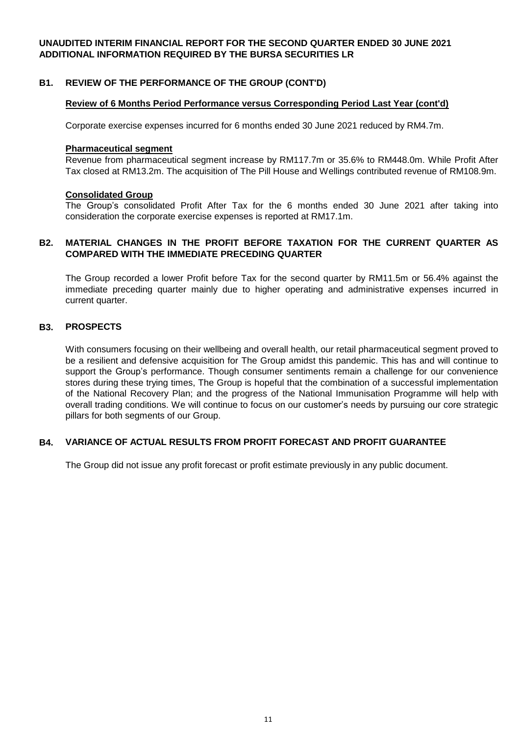### **B1. REVIEW OF THE PERFORMANCE OF THE GROUP (CONT'D)**

#### **Review of 6 Months Period Performance versus Corresponding Period Last Year (cont'd)**

Corporate exercise expenses incurred for 6 months ended 30 June 2021 reduced by RM4.7m.

#### **Pharmaceutical segment**

Revenue from pharmaceutical segment increase by RM117.7m or 35.6% to RM448.0m. While Profit After Tax closed at RM13.2m. The acquisition of The Pill House and Wellings contributed revenue of RM108.9m.

#### **Consolidated Group**

The Group's consolidated Profit After Tax for the 6 months ended 30 June 2021 after taking into consideration the corporate exercise expenses is reported at RM17.1m.

#### **B2. MATERIAL CHANGES IN THE PROFIT BEFORE TAXATION FOR THE CURRENT QUARTER AS COMPARED WITH THE IMMEDIATE PRECEDING QUARTER**

The Group recorded a lower Profit before Tax for the second quarter by RM11.5m or 56.4% against the immediate preceding quarter mainly due to higher operating and administrative expenses incurred in current quarter.

#### **B3. PROSPECTS**

With consumers focusing on their wellbeing and overall health, our retail pharmaceutical segment proved to be a resilient and defensive acquisition for The Group amidst this pandemic. This has and will continue to support the Group's performance. Though consumer sentiments remain a challenge for our convenience stores during these trying times, The Group is hopeful that the combination of a successful implementation of the National Recovery Plan; and the progress of the National Immunisation Programme will help with overall trading conditions. We will continue to focus on our customer's needs by pursuing our core strategic pillars for both segments of our Group.

#### **B4. VARIANCE OF ACTUAL RESULTS FROM PROFIT FORECAST AND PROFIT GUARANTEE**

The Group did not issue any profit forecast or profit estimate previously in any public document.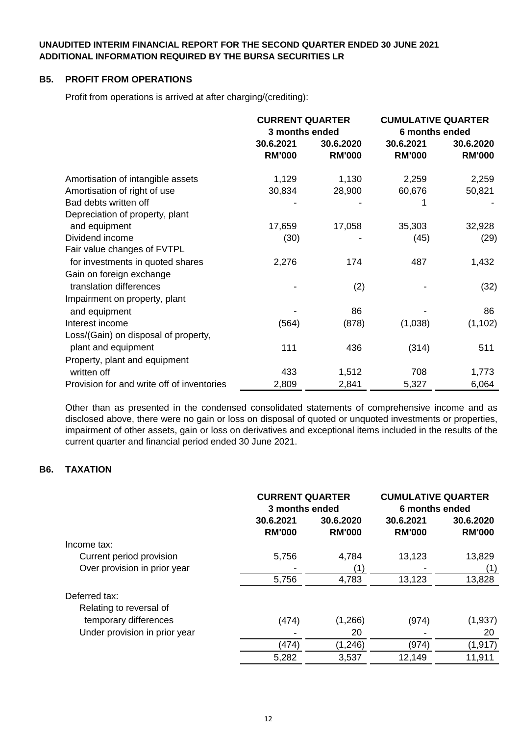### **B5. PROFIT FROM OPERATIONS**

Profit from operations is arrived at after charging/(crediting):

|                                            | <b>CURRENT QUARTER</b><br>3 months ended |                            | <b>CUMULATIVE QUARTER</b><br>6 months ended |                            |
|--------------------------------------------|------------------------------------------|----------------------------|---------------------------------------------|----------------------------|
|                                            | 30.6.2021<br><b>RM'000</b>               | 30.6.2020<br><b>RM'000</b> | 30.6.2021<br><b>RM'000</b>                  | 30.6.2020<br><b>RM'000</b> |
| Amortisation of intangible assets          | 1,129                                    | 1,130                      | 2,259                                       | 2,259                      |
| Amortisation of right of use               | 30,834                                   | 28,900                     | 60,676                                      | 50,821                     |
| Bad debts written off                      |                                          |                            | 1                                           |                            |
| Depreciation of property, plant            |                                          |                            |                                             |                            |
| and equipment                              | 17,659                                   | 17,058                     | 35,303                                      | 32,928                     |
| Dividend income                            | (30)                                     |                            | (45)                                        | (29)                       |
| Fair value changes of FVTPL                |                                          |                            |                                             |                            |
| for investments in quoted shares           | 2,276                                    | 174                        | 487                                         | 1,432                      |
| Gain on foreign exchange                   |                                          |                            |                                             |                            |
| translation differences                    |                                          | (2)                        |                                             | (32)                       |
| Impairment on property, plant              |                                          |                            |                                             |                            |
| and equipment                              |                                          | 86                         |                                             | 86                         |
| Interest income                            | (564)                                    | (878)                      | (1,038)                                     | (1, 102)                   |
| Loss/(Gain) on disposal of property,       |                                          |                            |                                             |                            |
| plant and equipment                        | 111                                      | 436                        | (314)                                       | 511                        |
| Property, plant and equipment              |                                          |                            |                                             |                            |
| written off                                | 433                                      | 1,512                      | 708                                         | 1,773                      |
| Provision for and write off of inventories | 2,809                                    | 2,841                      | 5,327                                       | 6,064                      |

Other than as presented in the condensed consolidated statements of comprehensive income and as disclosed above, there were no gain or loss on disposal of quoted or unquoted investments or properties, impairment of other assets, gain or loss on derivatives and exceptional items included in the results of the current quarter and financial period ended 30 June 2021.

## **B6. TAXATION**

|                               | <b>CURRENT QUARTER</b><br>3 months ended |                            | <b>CUMULATIVE QUARTER</b><br>6 months ended |                            |
|-------------------------------|------------------------------------------|----------------------------|---------------------------------------------|----------------------------|
|                               | 30.6.2021<br><b>RM'000</b>               | 30.6.2020<br><b>RM'000</b> | 30.6.2021<br><b>RM'000</b>                  | 30.6.2020<br><b>RM'000</b> |
| Income tax:                   |                                          |                            |                                             |                            |
| Current period provision      | 5,756                                    | 4,784                      | 13,123                                      | 13,829                     |
| Over provision in prior year  |                                          | (1)                        |                                             | (1)                        |
|                               | 5,756                                    | 4,783                      | 13,123                                      | 13,828                     |
| Deferred tax:                 |                                          |                            |                                             |                            |
| Relating to reversal of       |                                          |                            |                                             |                            |
| temporary differences         | (474)                                    | (1,266)                    | (974)                                       | (1,937)                    |
| Under provision in prior year |                                          | 20                         |                                             | 20                         |
|                               | (474)                                    | (1, 246)                   | (974)                                       | (1, 917)                   |
|                               | 5,282                                    | 3,537                      | 12,149                                      | 11,911                     |
|                               |                                          |                            |                                             |                            |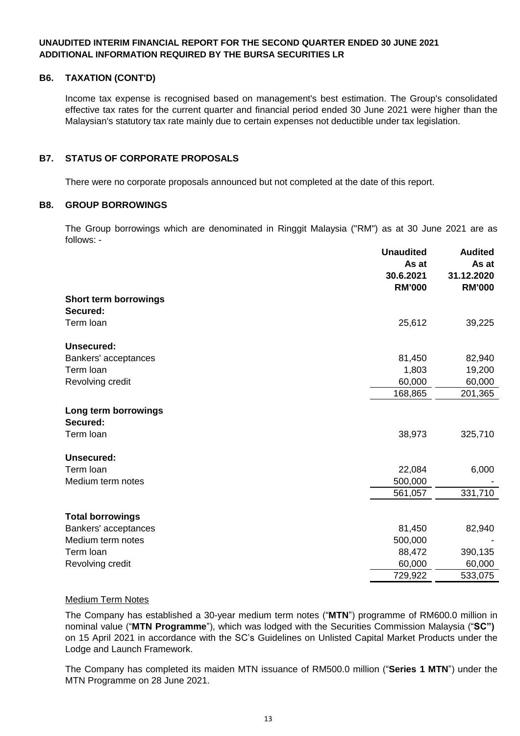## **B6. TAXATION (CONT'D)**

Income tax expense is recognised based on management's best estimation. The Group's consolidated effective tax rates for the current quarter and financial period ended 30 June 2021 were higher than the Malaysian's statutory tax rate mainly due to certain expenses not deductible under tax legislation.

## **B7. STATUS OF CORPORATE PROPOSALS**

There were no corporate proposals announced but not completed at the date of this report.

#### **B8. GROUP BORROWINGS**

The Group borrowings which are denominated in Ringgit Malaysia ("RM") as at 30 June 2021 are as follows: -

|                                  | <b>Unaudited</b><br>As at<br>30.6.2021<br><b>RM'000</b> | <b>Audited</b><br>As at<br>31.12.2020<br><b>RM'000</b> |
|----------------------------------|---------------------------------------------------------|--------------------------------------------------------|
| Short term borrowings            |                                                         |                                                        |
| Secured:                         |                                                         |                                                        |
| Term loan                        | 25,612                                                  | 39,225                                                 |
| Unsecured:                       |                                                         |                                                        |
| Bankers' acceptances             | 81,450                                                  | 82,940                                                 |
| Term loan                        | 1,803                                                   | 19,200                                                 |
| Revolving credit                 | 60,000                                                  | 60,000                                                 |
|                                  | 168,865                                                 | 201,365                                                |
| Long term borrowings<br>Secured: |                                                         |                                                        |
| Term loan                        | 38,973                                                  | 325,710                                                |
| <b>Unsecured:</b>                |                                                         |                                                        |
| Term loan                        | 22,084                                                  | 6,000                                                  |
| Medium term notes                | 500,000                                                 |                                                        |
|                                  | 561,057                                                 | 331,710                                                |
| <b>Total borrowings</b>          |                                                         |                                                        |
| Bankers' acceptances             | 81,450                                                  | 82,940                                                 |
| Medium term notes                | 500,000                                                 |                                                        |
| Term loan                        | 88,472                                                  | 390,135                                                |
| Revolving credit                 | 60,000                                                  | 60,000                                                 |
|                                  | 729,922                                                 | 533,075                                                |

#### Medium Term Notes

The Company has established a 30-year medium term notes ("**MTN**") programme of RM600.0 million in nominal value ("**MTN Programme**"), which was lodged with the Securities Commission Malaysia ("**SC")** ) on 15 April 2021 in accordance with the SC's Guidelines on Unlisted Capital Market Products under the Lodge and Launch Framework.

The Company has completed its maiden MTN issuance of RM500.0 million ("**Series 1 MTN**") under the MTN Programme on 28 June 2021.